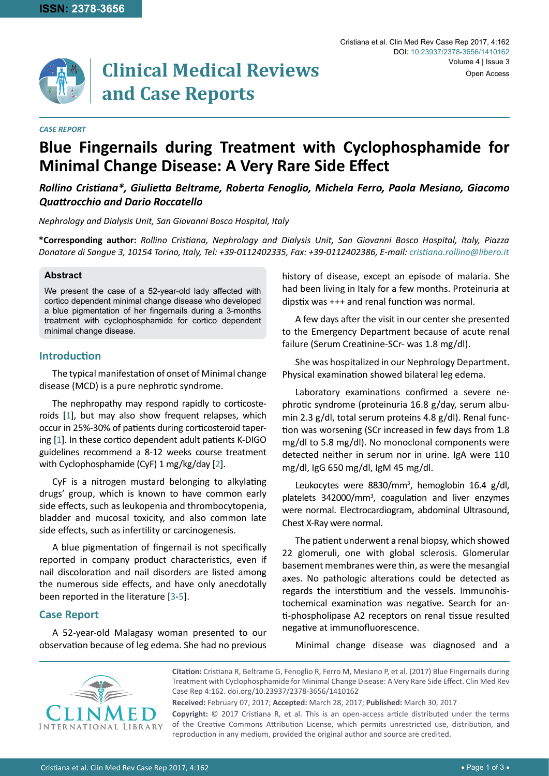

# **Clinical Medical Reviews and Case Reports**

#### *CASE REPORT*

# **Blue Fingernails during Treatment with Cyclophosphamide for Minimal Change Disease: A Very Rare Side Effect**

*Rollino Cristiana\*, Giulietta Beltrame, Roberta Fenoglio, Michela Ferro, Paola Mesiano, Giacomo Quattrocchio and Dario Roccatello*

*Nephrology and Dialysis Unit, San Giovanni Bosco Hospital, Italy*

**\*Corresponding author:** *Rollino Cristiana, Nephrology and Dialysis Unit, San Giovanni Bosco Hospital, Italy, Piazza Donatore di Sangue 3, 10154 Torino, Italy, Tel: +39-0112402335, Fax: +39-0112402386, E-mail: cristiana.rollino@libero.it* 

#### **Abstract**

We present the case of a 52-year-old lady affected with cortico dependent minimal change disease who developed a blue pigmentation of her fingernails during a 3-months treatment with cyclophosphamide for cortico dependent minimal change disease.

## **Introduction**

The typical manifestation of onset of Minimal change disease (MCD) is a pure nephrotic syndrome.

The nephropathy may respond rapidly to corticosteroids [\[1\]](#page-2-0), but may also show frequent relapses, which occur in 25%-30% of patients during corticosteroid tapering [\[1\]](#page-2-0). In these cortico dependent adult patients K-DIGO guidelines recommend a 8-12 weeks course treatment with Cyclophosphamide (CyF) 1 mg/kg/day [[2\]](#page-2-1).

CyF is a nitrogen mustard belonging to alkylating drugs' group, which is known to have common early side effects, such as leukopenia and thrombocytopenia, bladder and mucosal toxicity, and also common late side effects, such as infertility or carcinogenesis.

A blue pigmentation of fingernail is not specifically reported in company product characteristics, even if nail discoloration and nail disorders are listed among the numerous side effects, and have only anecdotally been reported in the literature [[3-](#page-2-2)[5](#page-2-3)].

#### **Case Report**

A 52-year-old Malagasy woman presented to our observation because of leg edema. She had no previous history of disease, except an episode of malaria. She had been living in Italy for a few months. Proteinuria at dipstix was +++ and renal function was normal.

A few days after the visit in our center she presented to the Emergency Department because of acute renal failure (Serum Creatinine-SCr- was 1.8 mg/dl).

She was hospitalized in our Nephrology Department. Physical examination showed bilateral leg edema.

Laboratory examinations confirmed a severe nephrotic syndrome (proteinuria 16.8 g/day, serum albumin 2.3 g/dl, total serum proteins 4.8 g/dl). Renal function was worsening (SCr increased in few days from 1.8 mg/dl to 5.8 mg/dl). No monoclonal components were detected neither in serum nor in urine. IgA were 110 mg/dl, IgG 650 mg/dl, IgM 45 mg/dl.

Leukocytes were 8830/mm<sup>3</sup>, hemoglobin 16.4 g/dl, platelets 342000/mm<sup>3</sup>, coagulation and liver enzymes were normal. Electrocardiogram, abdominal Ultrasound, Chest X-Ray were normal.

The patient underwent a renal biopsy, which showed 22 glomeruli, one with global sclerosis. Glomerular basement membranes were thin, as were the mesangial axes. No pathologic alterations could be detected as regards the interstitium and the vessels. Immunohistochemical examination was negative. Search for anti-phospholipase A2 receptors on renal tissue resulted negative at immunofluorescence.

Minimal change disease was diagnosed and a



**Citation:** Cristiana R, Beltrame G, Fenoglio R, Ferro M, Mesiano P, et al. (2017) Blue Fingernails during Treatment with Cyclophosphamide for Minimal Change Disease: A Very Rare Side Effect. Clin Med Rev Case Rep 4:162. [doi.org/10.23937/2378-3656/1410162](https://doi.org/10.23937/2378-3656/1410162)

**Received:** February 07, 2017; **Accepted:** March 28, 2017; **Published:** March 30, 2017 **Copyright:** © 2017 Cristiana R, et al. This is an open-access article distributed under the terms of the Creative Commons Attribution License, which permits unrestricted use, distribution, and reproduction in any medium, provided the original author and source are credited.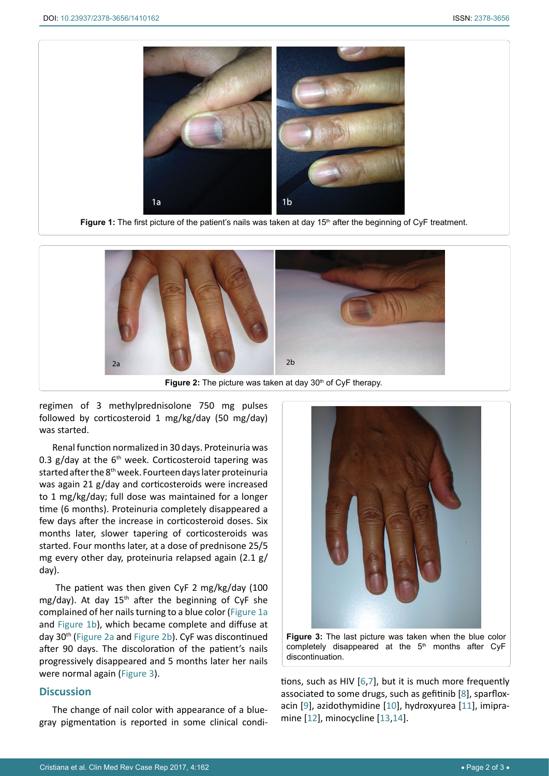<span id="page-1-0"></span>

Figure 1: The first picture of the patient's nails was taken at day 15<sup>th</sup> after the beginning of CyF treatment.

<span id="page-1-1"></span>

regimen of 3 methylprednisolone 750 mg pulses followed by corticosteroid 1 mg/kg/day (50 mg/day) was started.

Renal function normalized in 30 days. Proteinuria was 0.3  $g$ /day at the 6<sup>th</sup> week. Corticosteroid tapering was started after the 8<sup>th</sup> week. Fourteen days later proteinuria was again 21 g/day and corticosteroids were increased to 1 mg/kg/day; full dose was maintained for a longer time (6 months). Proteinuria completely disappeared a few days after the increase in corticosteroid doses. Six months later, slower tapering of corticosteroids was started. Four months later, at a dose of prednisone 25/5 mg every other day, proteinuria relapsed again (2.1 g/ day).

 The patient was then given CyF 2 mg/kg/day (100 mg/day). At day  $15<sup>th</sup>$  after the beginning of CyF she complained of her nails turning to a blue color [\(Figure 1a](#page-1-0) and [Figure 1b\)](#page-1-0), which became complete and diffuse at day 30<sup>th</sup> ([Figure 2a](#page-1-1) and [Figure 2b\)](#page-1-1). CyF was discontinued after 90 days. The discoloration of the patient's nails progressively disappeared and 5 months later her nails were normal again ([Figure](#page-1-2) [3](#page-1-2)).

## **Discussion**

The change of nail color with appearance of a bluegray pigmentation is reported in some clinical condi-

<span id="page-1-2"></span>

**Figure 3:** The last picture was taken when the blue color completely disappeared at the  $5<sup>th</sup>$  months after CyF discontinuation.

tions, such as HIV [\[6,](#page-2-4)[7\]](#page-2-5), but it is much more frequently associated to some drugs, such as gefitinib [\[8\]](#page-2-6), sparfloxacin [\[9\]](#page-2-7), azidothymidine [[10](#page-2-8)], hydroxyurea [[11\]](#page-2-9), imipramine [\[12](#page-2-10)], minocycline [\[13](#page-2-11)[,14](#page-2-12)].